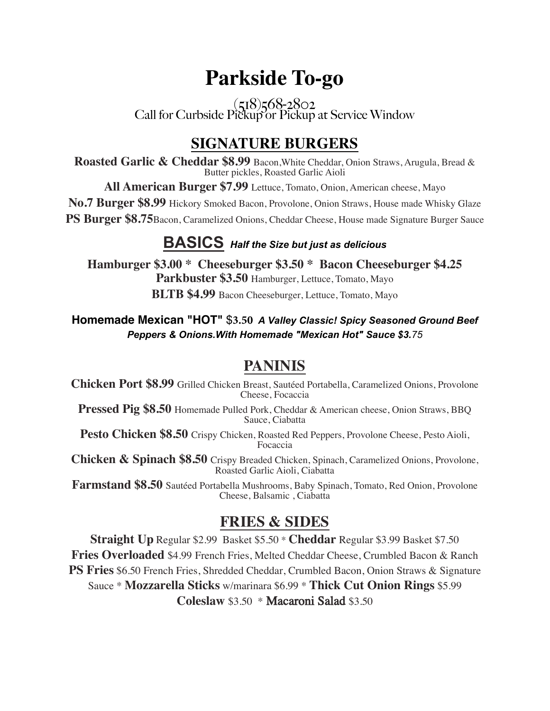# **Parkside To-go**

 $(518)568-2802$ Call for Curbside Pickup or Pickup at Service Window

# **SIGNATURE BURGERS**

**Roasted Garlic & Cheddar \$8.99** Bacon,White Cheddar, Onion Straws, Arugula, Bread & Butter pickles, Roasted Garlic Aioli

**All American Burger \$7.99** Lettuce, Tomato, Onion, American cheese, Mayo

**No.7 Burger \$8.99** Hickory Smoked Bacon, Provolone, Onion Straws, House made Whisky Glaze

**PS Burger \$8.75**Bacon, Caramelized Onions, Cheddar Cheese, House made Signature Burger Sauce

#### **BASICS** *Half the Size but just as delicious*

**Hamburger \$3.00 \* Cheeseburger \$3.50 \* Bacon Cheeseburger \$4.25 Parkbuster \$3.50** Hamburger, Lettuce, Tomato, Mayo **BLTB \$4.99** Bacon Cheeseburger, Lettuce, Tomato, Mayo

#### **Homemade Mexican "HOT"** \$**3.50** *A Valley Classic! Spicy Seasoned Ground Beef Peppers & Onions.With Homemade "Mexican Hot" Sauce \$3.75*

## **PANINIS**

**Chicken Port \$8.99** Grilled Chicken Breast, Sautéed Portabella, Caramelized Onions, Provolone Cheese, Focaccia

**Pressed Pig \$8.50** Homemade Pulled Pork, Cheddar & American cheese, Onion Straws, BBQ Sauce, Ciabatta

**Pesto Chicken \$8.50** Crispy Chicken, Roasted Red Peppers, Provolone Cheese, Pesto Aioli, Focaccia

**Chicken & Spinach \$8.50** Crispy Breaded Chicken, Spinach, Caramelized Onions, Provolone, Roasted Garlic Aioli, Ciabatta

**Farmstand \$8.50** Sautéed Portabella Mushrooms, Baby Spinach, Tomato, Red Onion, Provolone Cheese, Balsamic , Ciabatta

## **FRIES & SIDES**

**Straight Up** Regular \$2.99 Basket \$5.50 \* **Cheddar** Regular \$3.99 Basket \$7.50 **Fries Overloaded** \$4.99 French Fries, Melted Cheddar Cheese, Crumbled Bacon & Ranch **PS Fries** \$6.50 French Fries, Shredded Cheddar, Crumbled Bacon, Onion Straws & Signature Sauce \* **Mozzarella Sticks** w/marinara \$6.99 \* **Thick Cut Onion Rings** \$5.99 **Coleslaw** \$3.50 \* Macaroni Salad \$3.50